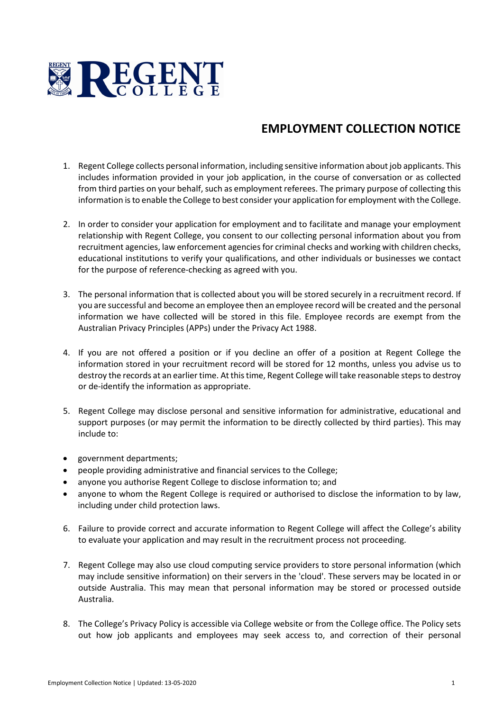

## **EMPLOYMENT COLLECTION NOTICE**

- 1. Regent College collects personal information, including sensitive information about job applicants. This includes information provided in your job application, in the course of conversation or as collected from third parties on your behalf, such as employment referees. The primary purpose of collecting this information is to enable the College to best consider your application for employment with the College.
- 2. In order to consider your application for employment and to facilitate and manage your employment relationship with Regent College, you consent to our collecting personal information about you from recruitment agencies, law enforcement agencies for criminal checks and working with children checks, educational institutions to verify your qualifications, and other individuals or businesses we contact for the purpose of reference-checking as agreed with you.
- 3. The personal information that is collected about you will be stored securely in a recruitment record. If you are successful and become an employee then an employee record will be created and the personal information we have collected will be stored in this file. Employee records are exempt from the Australian Privacy Principles (APPs) under the Privacy Act 1988.
- 4. If you are not offered a position or if you decline an offer of a position at Regent College the information stored in your recruitment record will be stored for 12 months, unless you advise us to destroy the records at an earlier time. At this time, Regent College will take reasonable steps to destroy or de-identify the information as appropriate.
- 5. Regent College may disclose personal and sensitive information for administrative, educational and support purposes (or may permit the information to be directly collected by third parties). This may include to:
- government departments;
- people providing administrative and financial services to the College;
- anyone you authorise Regent College to disclose information to; and
- anyone to whom the Regent College is required or authorised to disclose the information to by law, including under child protection laws.
- 6. Failure to provide correct and accurate information to Regent College will affect the College's ability to evaluate your application and may result in the recruitment process not proceeding.
- 7. Regent College may also use cloud computing service providers to store personal information (which may include sensitive information) on their servers in the 'cloud'. These servers may be located in or outside Australia. This may mean that personal information may be stored or processed outside Australia.
- 8. The College's Privacy Policy is accessible via College website or from the College office. The Policy sets out how job applicants and employees may seek access to, and correction of their personal